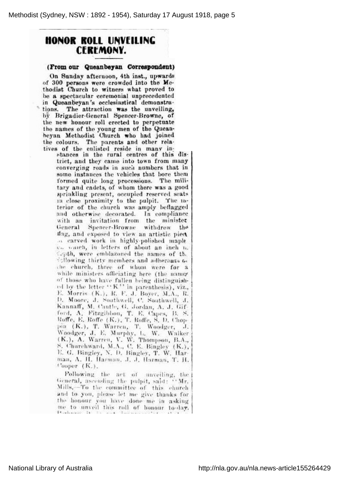## HONOR ROLL UNVEILING **CEREMONY.**

## (From our Queanbeyan Correspondent)

On Sunday afternoon, 4th inst., upwards of 30Q persona wero crowded into tho Me thodist Church to witness what proved to be <sup>a</sup> spectacular ceremonial unprecedented in Queanbeyan's ecclesiastical demonstrations. The attraction was the unveiling, by Brigadier-General Spencer-Browne, of the new honour roll erected to perpetuate the names of the young men of the Quean boyan Methodist Ohurch who had joined the colours. The parents and other rela tives of the enlisted reside in many in-

stances in the rural centres of this dis trict, and they came into town from many converging roads in such numbers that in some instances the vehicles that bore them formed quite long processions. The mili tary and cadets, of whom there was <sup>a</sup> good sprinkling present, occupied reserved seats in close proximity to the pulpit. The in terior of the church was amply beflagged and otherwise decorated. In compliance with an invitation from the ministe General Spencer-Browne withdrew tin\* llag, and exposed to view an artistic piecA a carved work in highly-polished maple oii veiled, in letters of about an inch ii. depth, were emblazoned the names of th. following thirty members and adherents to che church, three of whom were for a while ministers officiating here (the name of those who have fallen being distinguished by the letter  $``K"$  in parenthesis), viz. E. Morris (K.), R. F. J. Boyer, M.A., R. D. Moore, J. Southwell, C. Southwell, J. Kannaff, M. Cautle, G. Jordan, A. J. Gif ford, A. Fitzgibbon, T. E. Capes, B. S. Roffe, E. Roffe (K.), T. Roffe, S. D. Chop pin (K.), T. Wan-en, T. Woodgcr, 3. Woodger, J. E. Murphy, L. W. Walk (K.), A. Warren, V. W. Thompson, B.A., S. Churchward, M.A., C. E. Bingloy (K), E. G. Bingley, N. D. Bingley, T. W. Harman, A. H. Harman, J. J. Harman, T. H. Cooper (K.).

Following the act of unveiling, the General, ascending the pulpit, said: "Mr. Mills, To the committee of this church and to you, please let me give thanks for the honour you have done me in asking me to unveil this roll of honour to-day.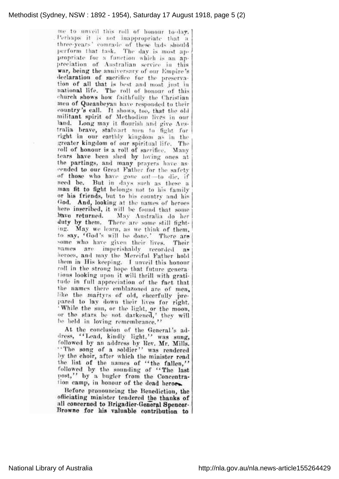## Methodist (Sydney, NSW : 1892 - 1954), Saturday 17 August 1918, page 5 (2)

me to unveil this roll of honour to-day. .Porhaps it is not inappropriate that <sup>a</sup> three-years' comrade of these lads should perform that task. The day is most ap propriate for <sup>a</sup> function which is an ap preciation of Australian service in this war, being the anniversary of our Empire's declaration of sacrifice for the preserva tion of all that is best and most just in national life. The roll of honour of this church shows how faithfully the Christian men of Queanbeyan have responded to their country's call. It shows, too, that the old militant spirit of Methodism lives in ou land. Long may it flourish and give Au tralia brave, stalwart men to fight for right in our earthly kingdom as in the greater kingdom of our spiritual life. Th roll of honour is <sup>a</sup> roll of sacrifice. Many tears 'have been shed by loving ones at the partings, and many prayers have ascended to our Great Father for tho safety of those who have gone out-to die, if need be. But in days such as these <sup>a</sup> man fit to fight belongs not to his family or his friends, but to his country and his God. And, looking at the names of heroes here inscribed, it will be found that some IVavo returned. May Australia do her duty by them. There are some still fighting. May we learn, as we think of them, to say, 'God's will bo done.' There are some who have given their lives. Their names are imporishably recorded as horoes, and may the Merciful Father hold them in His keeping. I unveil this honour roll in tho strong hope that future genera tions looking upon it will thrill with grati tude in full appreciation of the fact that the names there emblazoned are of men, like the martyrs of old, cheerfully pre pared to lay down their lives for right. ' While the sun, or the light, or the moon, or the stars be not darkened,' they will be held in loving remembrance.'

At the conclusion of the General's address, ''Lead, kindly light,'' was sung, followed by an address by Rev. Mr. Mills. 'The song of <sup>a</sup> soldier' was rendered by the choir, after which the minister read the list of the names of 'the fallen,' followed by the sounding of "The last post," by a bugler from the Concentration camp, in honour of the dead heroes.

Before pronouncing the Benediction, the officiating minister tendered the thanks of all coneernod to Brigadier-General Spencer Browne for his valuable contribution to